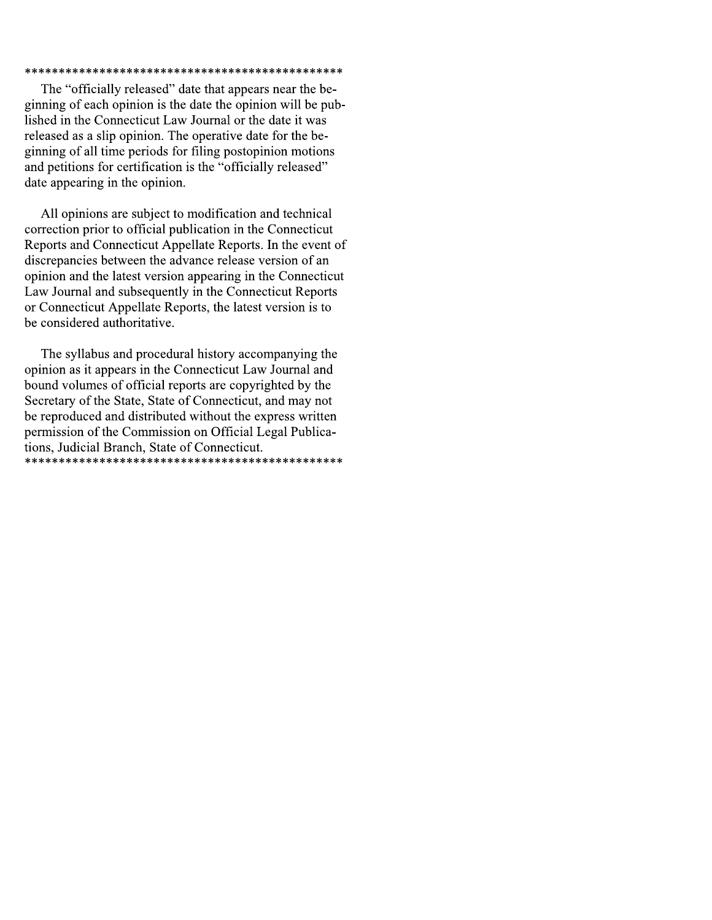## 

The "officially released" date that appears near the beginning of each opinion is the date the opinion will be published in the Connecticut Law Journal or the date it was released as a slip opinion. The operative date for the beginning of all time periods for filing postopinion motions and petitions for certification is the "officially released" date appearing in the opinion.

All opinions are subject to modification and technical correction prior to official publication in the Connecticut Reports and Connecticut Appellate Reports. In the event of discrepancies between the advance release version of an opinion and the latest version appearing in the Connecticut Law Journal and subsequently in the Connecticut Reports or Connecticut Appellate Reports, the latest version is to be considered authoritative.

The syllabus and procedural history accompanying the opinion as it appears in the Connecticut Law Journal and bound volumes of official reports are copyrighted by the Secretary of the State, State of Connecticut, and may not be reproduced and distributed without the express written permission of the Commission on Official Legal Publications, Judicial Branch, State of Connecticut.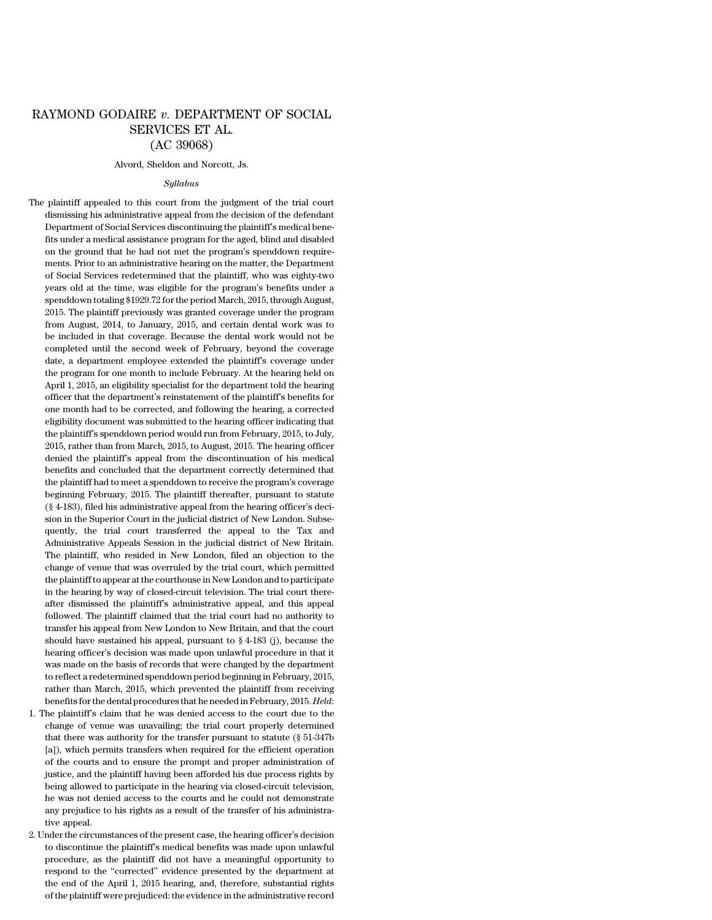# RAYMOND GODAIRE *v.* DEPARTMENT OF SOCIAL SERVICES ET AL. (AC 39068)

#### Alvord, Sheldon and Norcott, Js.

#### *Syllabus*

The plaintiff appealed to this court from the judgment of the trial court dismissing his administrative appeal from the decision of the defendant Department of Social Services discontinuing the plaintiff's medical benefits under a medical assistance program for the aged, blind and disabled on the ground that he had not met the program's spenddown requirements. Prior to an administrative hearing on the matter, the Department of Social Services redetermined that the plaintiff, who was eighty-two years old at the time, was eligible for the program's benefits under a spenddown totaling \$1929.72 forthe period March, 2015, through August, 2015. The plaintiff previously was granted coverage under the program from August, 2014, to January, 2015, and certain dental work was to be included in that coverage. Because the dental work would not be completed until the second week of February, beyond the coverage date, a department employee extended the plaintiff's coverage under the program for one month to include February. At the hearing held on April 1, 2015, an eligibility specialist for the department told the hearing officer that the department's reinstatement of the plaintiff's benefits for one month had to be corrected, and following the hearing, a corrected eligibility document was submitted to the hearing officer indicating that the plaintiff's spenddown period would run from February, 2015, to July, 2015, rather than from March, 2015, to August, 2015. The hearing officer denied the plaintiff's appeal from the discontinuation of his medical benefits and concluded that the department correctly determined that the plaintiff had to meet a spenddown to receive the program's coverage beginning February, 2015. The plaintiff thereafter, pursuant to statute (§ 4-183), filed his administrative appeal from the hearing officer's decision in the Superior Court in the judicial district of New London. Subsequently, the trial court transferred the appeal to the Tax and Administrative Appeals Session in the judicial district of New Britain. The plaintiff, who resided in New London, filed an objection to the change of venue that was overruled by the trial court, which permitted the plaintiffto appear atthe courthouse in New London and to participate in the hearing by way of closed-circuit television. The trial court thereafter dismissed the plaintiff's administrative appeal, and this appeal followed. The plaintiff claimed that the trial court had no authority to transfer his appeal from New London to New Britain, and that the court should have sustained his appeal, pursuant to § 4-183 (j), because the hearing officer's decision was made upon unlawful procedure in that it was made on the basis of records that were changed by the department to reflect a redetermined spenddown period beginning in February, 2015, rather than March, 2015, which prevented the plaintiff from receiving benefits forthe dental procedures that he needed in February, 2015. *Held*:

- 1. The plaintiff's claim that he was denied access to the court due to the change of venue was unavailing; the trial court properly determined that there was authority for the transfer pursuant to statute (§ 51-347b [a]), which permits transfers when required for the efficient operation of the courts and to ensure the prompt and proper administration of justice, and the plaintiff having been afforded his due process rights by being allowed to participate in the hearing via closed-circuit television, he was not denied access to the courts and he could not demonstrate any prejudice to his rights as a result of the transfer of his administrative appeal.
- 2. Underthe circumstances of the present case, the hearing officer's decision to discontinue the plaintiff's medical benefits was made upon unlawful procedure, as the plaintiff did not have a meaningful opportunity to respond to the ''corrected'' evidence presented by the department at the end of the April 1, 2015 hearing, and, therefore, substantial rights of the plaintiff were prejudiced: the evidence in the administrative record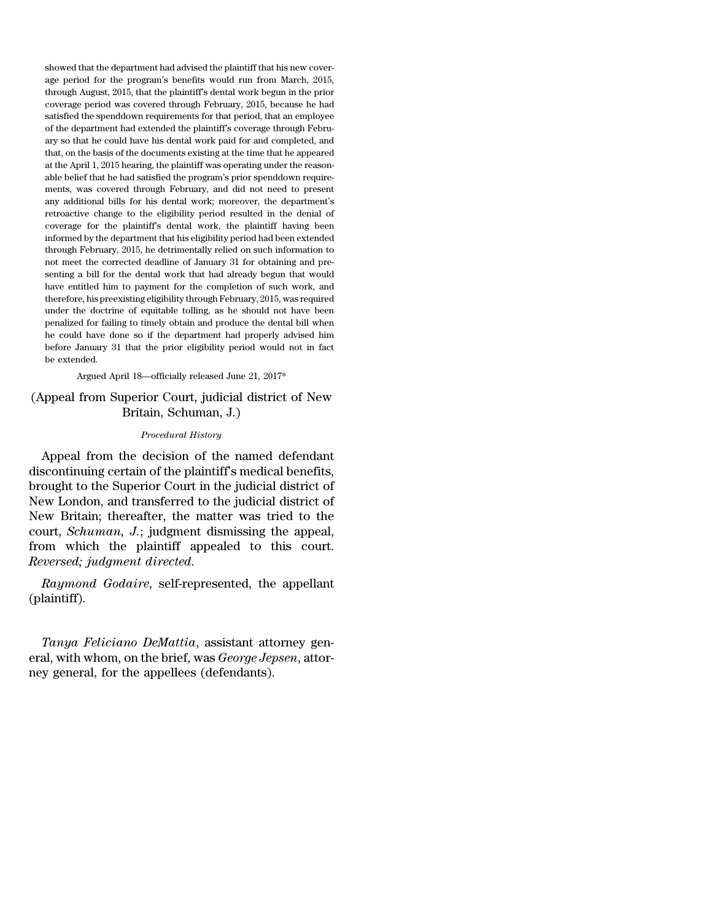showed that the department had advised the plaintiff that his new coverage period for the program's benefits would run from March, 2015, through August, 2015, that the plaintiff's dental work begun in the prior coverage period was covered through February, 2015, because he had satisfied the spenddown requirements for that period, that an employee of the department had extended the plaintiff's coverage through February so that he could have his dental work paid for and completed, and that, on the basis of the documents existing at the time that he appeared at the April 1, 2015 hearing, the plaintiff was operating under the reasonable belief that he had satisfied the program's prior spenddown requirements, was covered through February, and did not need to present any additional bills for his dental work; moreover, the department's retroactive change to the eligibility period resulted in the denial of coverage for the plaintiff's dental work, the plaintiff having been informed by the department that his eligibility period had been extended through February, 2015, he detrimentally relied on such information to not meet the corrected deadline of January 31 for obtaining and presenting a bill for the dental work that had already begun that would have entitled him to payment for the completion of such work, and therefore, his preexisting eligibility through February, 2015, was required under the doctrine of equitable tolling, as he should not have been penalized for failing to timely obtain and produce the dental bill when he could have done so if the department had properly advised him before January 31 that the prior eligibility period would not in fact be extended.

### Argued April 18—officially released June 21, 2017\*

## (Appeal from Superior Court, judicial district of New Britain, Schuman, J.)

#### *Procedural History*

Appeal from the decision of the named defendant discontinuing certain of the plaintiff's medical benefits, brought to the Superior Court in the judicial district of New London, and transferred to the judicial district of New Britain; thereafter, the matter was tried to the court, *Schuman, J.*; judgment dismissing the appeal, from which the plaintiff appealed to this court. *Reversed; judgment directed*.

*Raymond Godaire*, self-represented, the appellant (plaintiff).

*Tanya Feliciano DeMattia*, assistant attorney general, with whom, on the brief, was *George Jepsen*, attorney general, for the appellees (defendants).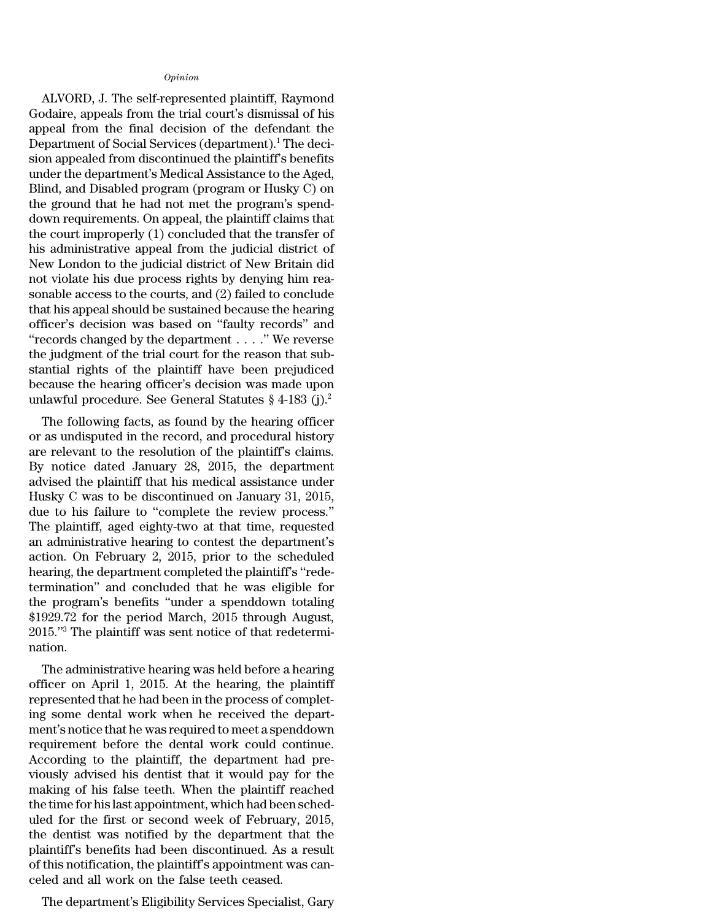## *Opinion*

ALVORD, J. The self-represented plaintiff, Raymond Godaire, appeals from the trial court's dismissal of his appeal from the final decision of the defendant the Department of Social Services (department).<sup>1</sup> The decision appealed from discontinued the plaintiff's benefits under the department's Medical Assistance to the Aged, Blind, and Disabled program (program or Husky C) on the ground that he had not met the program's spenddown requirements. On appeal, the plaintiff claims that the court improperly (1) concluded that the transfer of his administrative appeal from the judicial district of New London to the judicial district of New Britain did not violate his due process rights by denying him reasonable access to the courts, and (2) failed to conclude that his appeal should be sustained because the hearing officer's decision was based on ''faulty records'' and ''records changed by the department . . . .'' We reverse the judgment of the trial court for the reason that substantial rights of the plaintiff have been prejudiced because the hearing officer's decision was made upon unlawful procedure. See General Statutes  $\S 4$ -183 (j).<sup>2</sup>

The following facts, as found by the hearing officer or as undisputed in the record, and procedural history are relevant to the resolution of the plaintiff's claims. By notice dated January 28, 2015, the department advised the plaintiff that his medical assistance under Husky C was to be discontinued on January 31, 2015, due to his failure to ''complete the review process.'' The plaintiff, aged eighty-two at that time, requested an administrative hearing to contest the department's action. On February 2, 2015, prior to the scheduled hearing, the department completed the plaintiff's "redetermination'' and concluded that he was eligible for the program's benefits ''under a spenddown totaling \$1929.72 for the period March, 2015 through August, 2015.''<sup>3</sup> The plaintiff was sent notice of that redetermination.

The administrative hearing was held before a hearing officer on April 1, 2015. At the hearing, the plaintiff represented that he had been in the process of completing some dental work when he received the department's notice that he was required to meet a spenddown requirement before the dental work could continue. According to the plaintiff, the department had previously advised his dentist that it would pay for the making of his false teeth. When the plaintiff reached the time for his last appointment, which had been scheduled for the first or second week of February, 2015, the dentist was notified by the department that the plaintiff's benefits had been discontinued. As a result of this notification, the plaintiff's appointment was canceled and all work on the false teeth ceased.

The department's Eligibility Services Specialist, Gary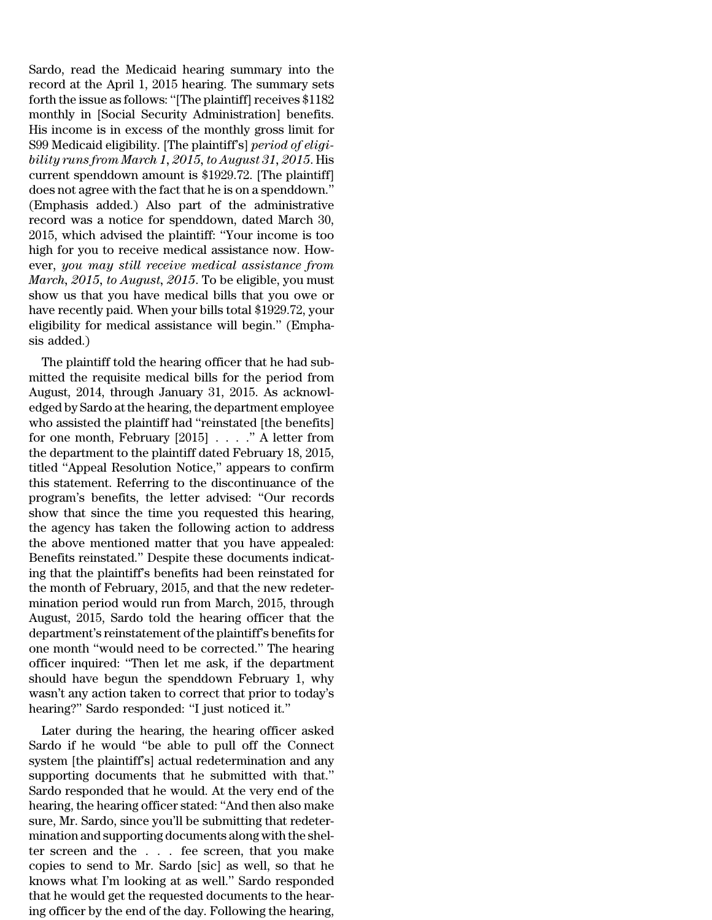Sardo, read the Medicaid hearing summary into the record at the April 1, 2015 hearing. The summary sets forth the issue as follows: "[The plaintiff] receives \$1182 monthly in [Social Security Administration] benefits. His income is in excess of the monthly gross limit for S99 Medicaid eligibility. [The plaintiff's] *period of eligibility runs from March 1, 2015, to August 31, 2015*. His current spenddown amount is \$1929.72. [The plaintiff] does not agree with the fact that he is on a spenddown.'' (Emphasis added.) Also part of the administrative record was a notice for spenddown, dated March 30, 2015, which advised the plaintiff: ''Your income is too high for you to receive medical assistance now. However, *you may still receive medical assistance from March, 2015, to August, 2015*. To be eligible, you must show us that you have medical bills that you owe or have recently paid. When your bills total \$1929.72, your eligibility for medical assistance will begin.'' (Emphasis added.)

The plaintiff told the hearing officer that he had submitted the requisite medical bills for the period from August, 2014, through January 31, 2015. As acknowledged by Sardo at the hearing, the department employee who assisted the plaintiff had ''reinstated [the benefits] for one month, February [2015] . . . .'' A letter from the department to the plaintiff dated February 18, 2015, titled ''Appeal Resolution Notice,'' appears to confirm this statement. Referring to the discontinuance of the program's benefits, the letter advised: ''Our records show that since the time you requested this hearing, the agency has taken the following action to address the above mentioned matter that you have appealed: Benefits reinstated.'' Despite these documents indicating that the plaintiff's benefits had been reinstated for the month of February, 2015, and that the new redetermination period would run from March, 2015, through August, 2015, Sardo told the hearing officer that the department's reinstatement of the plaintiff's benefits for one month ''would need to be corrected.'' The hearing officer inquired: ''Then let me ask, if the department should have begun the spenddown February 1, why wasn't any action taken to correct that prior to today's hearing?'' Sardo responded: ''I just noticed it.''

Later during the hearing, the hearing officer asked Sardo if he would ''be able to pull off the Connect system [the plaintiff's] actual redetermination and any supporting documents that he submitted with that.'' Sardo responded that he would. At the very end of the hearing, the hearing officer stated: ''And then also make sure, Mr. Sardo, since you'll be submitting that redetermination and supporting documents along with the shelter screen and the . . . fee screen, that you make copies to send to Mr. Sardo [sic] as well, so that he knows what I'm looking at as well.'' Sardo responded that he would get the requested documents to the hearing officer by the end of the day. Following the hearing,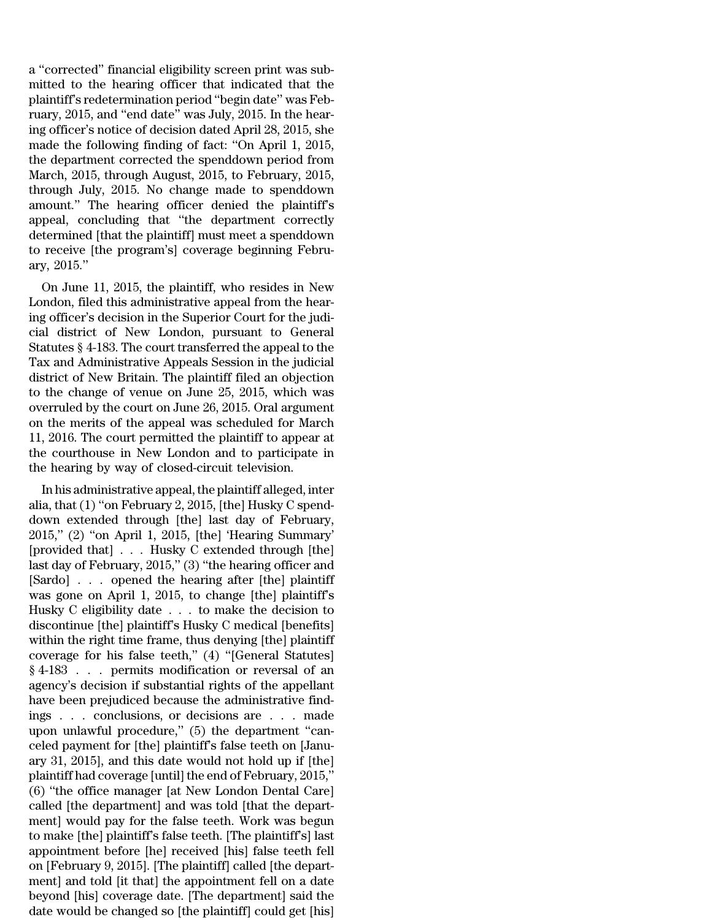a ''corrected'' financial eligibility screen print was submitted to the hearing officer that indicated that the plaintiff's redetermination period ''begin date'' was February, 2015, and "end date" was July, 2015. In the hearing officer's notice of decision dated April 28, 2015, she made the following finding of fact: ''On April 1, 2015, the department corrected the spenddown period from March, 2015, through August, 2015, to February, 2015, through July, 2015. No change made to spenddown amount.'' The hearing officer denied the plaintiff's appeal, concluding that ''the department correctly determined [that the plaintiff] must meet a spenddown to receive [the program's] coverage beginning February, 2015.''

On June 11, 2015, the plaintiff, who resides in New London, filed this administrative appeal from the hearing officer's decision in the Superior Court for the judicial district of New London, pursuant to General Statutes § 4-183. The court transferred the appeal to the Tax and Administrative Appeals Session in the judicial district of New Britain. The plaintiff filed an objection to the change of venue on June 25, 2015, which was overruled by the court on June 26, 2015. Oral argument on the merits of the appeal was scheduled for March 11, 2016. The court permitted the plaintiff to appear at the courthouse in New London and to participate in the hearing by way of closed-circuit television.

In his administrative appeal, the plaintiff alleged, inter alia, that (1) ''on February 2, 2015, [the] Husky C spenddown extended through [the] last day of February, 2015,'' (2) ''on April 1, 2015, [the] 'Hearing Summary' [provided that] . . . Husky C extended through [the] last day of February, 2015," (3) "the hearing officer and [Sardo] . . . opened the hearing after [the] plaintiff was gone on April 1, 2015, to change [the] plaintiff's Husky C eligibility date . . . to make the decision to discontinue [the] plaintiff's Husky C medical [benefits] within the right time frame, thus denying [the] plaintiff coverage for his false teeth,'' (4) ''[General Statutes] § 4-183 . . . permits modification or reversal of an agency's decision if substantial rights of the appellant have been prejudiced because the administrative findings . . . conclusions, or decisions are . . . made upon unlawful procedure,'' (5) the department ''canceled payment for [the] plaintiff's false teeth on [January 31, 2015], and this date would not hold up if [the] plaintiff had coverage [until] the end of February, 2015,'' (6) ''the office manager [at New London Dental Care] called [the department] and was told [that the department] would pay for the false teeth. Work was begun to make [the] plaintiff's false teeth. [The plaintiff's] last appointment before [he] received [his] false teeth fell on [February 9, 2015]. [The plaintiff] called [the department] and told [it that] the appointment fell on a date beyond [his] coverage date. [The department] said the date would be changed so [the plaintiff] could get [his]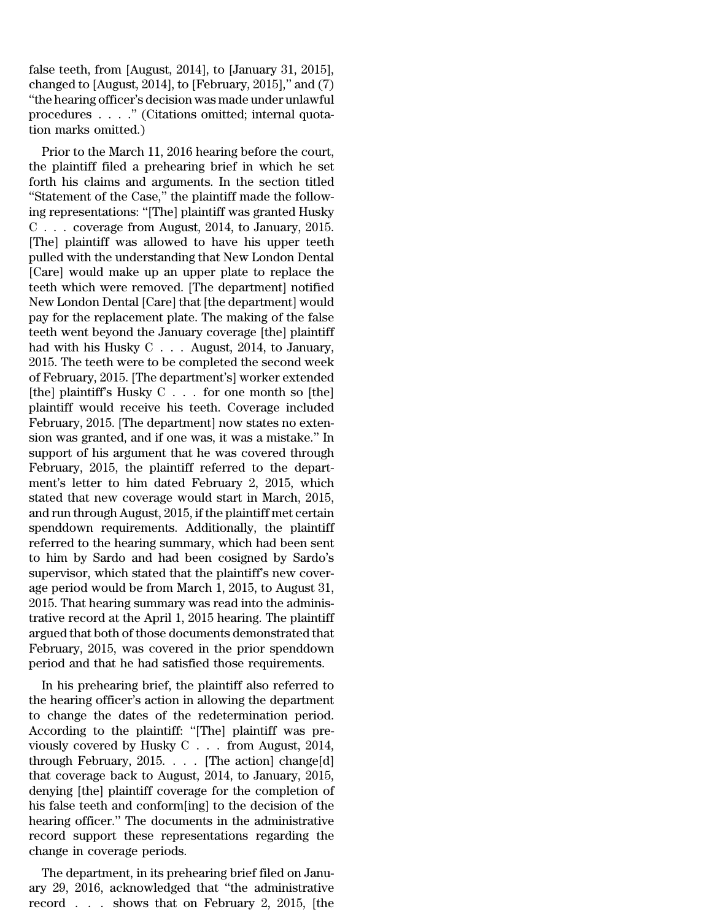false teeth, from [August, 2014], to [January 31, 2015], changed to [August, 2014], to [February, 2015]," and  $(7)$ ''the hearing officer's decision was made under unlawful procedures . . . .'' (Citations omitted; internal quotation marks omitted.)

Prior to the March 11, 2016 hearing before the court, the plaintiff filed a prehearing brief in which he set forth his claims and arguments. In the section titled ''Statement of the Case,'' the plaintiff made the following representations: ''[The] plaintiff was granted Husky C . . . coverage from August, 2014, to January, 2015. [The] plaintiff was allowed to have his upper teeth pulled with the understanding that New London Dental [Care] would make up an upper plate to replace the teeth which were removed. [The department] notified New London Dental [Care] that [the department] would pay for the replacement plate. The making of the false teeth went beyond the January coverage [the] plaintiff had with his Husky C . . . August, 2014, to January, 2015. The teeth were to be completed the second week of February, 2015. [The department's] worker extended [the] plaintiff's Husky C . . . for one month so [the] plaintiff would receive his teeth. Coverage included February, 2015. [The department] now states no extension was granted, and if one was, it was a mistake.'' In support of his argument that he was covered through February, 2015, the plaintiff referred to the department's letter to him dated February 2, 2015, which stated that new coverage would start in March, 2015, and run through August, 2015, if the plaintiff met certain spenddown requirements. Additionally, the plaintiff referred to the hearing summary, which had been sent to him by Sardo and had been cosigned by Sardo's supervisor, which stated that the plaintiff's new coverage period would be from March 1, 2015, to August 31, 2015. That hearing summary was read into the administrative record at the April 1, 2015 hearing. The plaintiff argued that both of those documents demonstrated that February, 2015, was covered in the prior spenddown period and that he had satisfied those requirements.

In his prehearing brief, the plaintiff also referred to the hearing officer's action in allowing the department to change the dates of the redetermination period. According to the plaintiff: ''[The] plaintiff was previously covered by Husky C . . . from August, 2014, through February, 2015. . . . [The action] change[d] that coverage back to August, 2014, to January, 2015, denying [the] plaintiff coverage for the completion of his false teeth and conform[ing] to the decision of the hearing officer.'' The documents in the administrative record support these representations regarding the change in coverage periods.

The department, in its prehearing brief filed on January 29, 2016, acknowledged that ''the administrative record . . . shows that on February 2, 2015, [the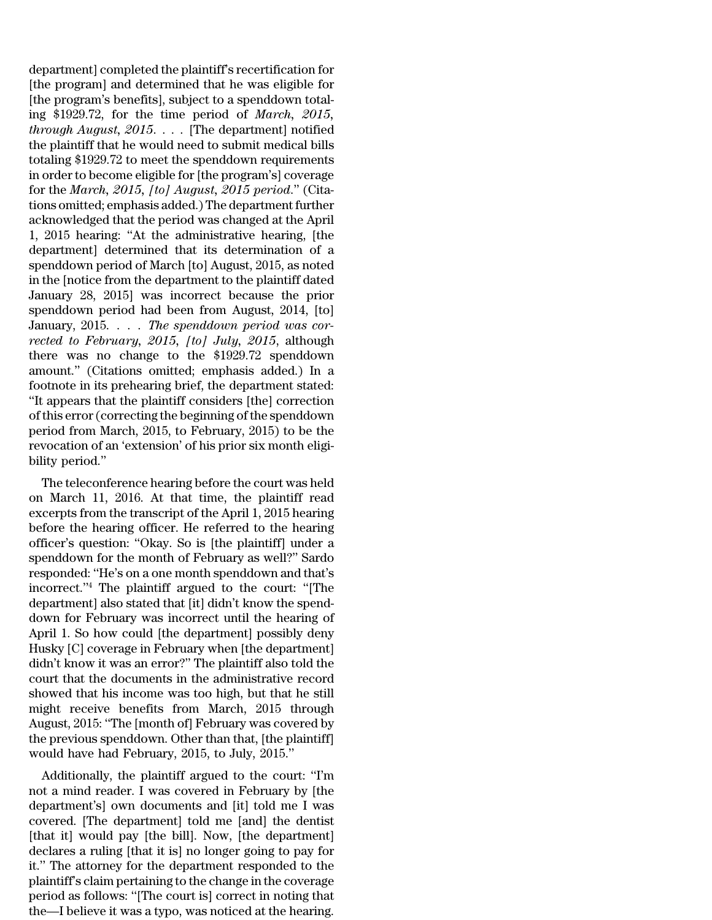department] completed the plaintiff's recertification for [the program] and determined that he was eligible for [the program's benefits], subject to a spenddown totaling \$1929.72, for the time period of *March, 2015, through August, 2015*. . . . [The department] notified the plaintiff that he would need to submit medical bills totaling \$1929.72 to meet the spenddown requirements in order to become eligible for [the program's] coverage for the *March, 2015, [to] August, 2015 period*.'' (Citations omitted; emphasis added.) The department further acknowledged that the period was changed at the April 1, 2015 hearing: ''At the administrative hearing, [the department] determined that its determination of a spenddown period of March [to] August, 2015, as noted in the [notice from the department to the plaintiff dated January 28, 2015] was incorrect because the prior spenddown period had been from August, 2014, [to] January, 2015. . . . *The spenddown period was corrected to February, 2015, [to] July, 2015*, although there was no change to the \$1929.72 spenddown amount.'' (Citations omitted; emphasis added.) In a footnote in its prehearing brief, the department stated: ''It appears that the plaintiff considers [the] correction of this error(correcting the beginning of the spenddown period from March, 2015, to February, 2015) to be the revocation of an 'extension' of his prior six month eligibility period.''

The teleconference hearing before the court was held on March 11, 2016. At that time, the plaintiff read excerpts from the transcript of the April 1, 2015 hearing before the hearing officer. He referred to the hearing officer's question: ''Okay. So is [the plaintiff] under a spenddown for the month of February as well?'' Sardo responded: ''He's on a one month spenddown and that's incorrect.''<sup>4</sup> The plaintiff argued to the court: ''[The department] also stated that [it] didn't know the spenddown for February was incorrect until the hearing of April 1. So how could [the department] possibly deny Husky [C] coverage in February when [the department] didn't know it was an error?'' The plaintiff also told the court that the documents in the administrative record showed that his income was too high, but that he still might receive benefits from March, 2015 through August, 2015: ''The [month of] February was covered by the previous spenddown. Other than that, [the plaintiff] would have had February, 2015, to July, 2015.''

Additionally, the plaintiff argued to the court: ''I'm not a mind reader. I was covered in February by [the department's] own documents and [it] told me I was covered. [The department] told me [and] the dentist [that it] would pay [the bill]. Now, [the department] declares a ruling [that it is] no longer going to pay for it.'' The attorney for the department responded to the plaintiff's claim pertaining to the change in the coverage period as follows: ''[The court is] correct in noting that the—I believe it was a typo, was noticed at the hearing.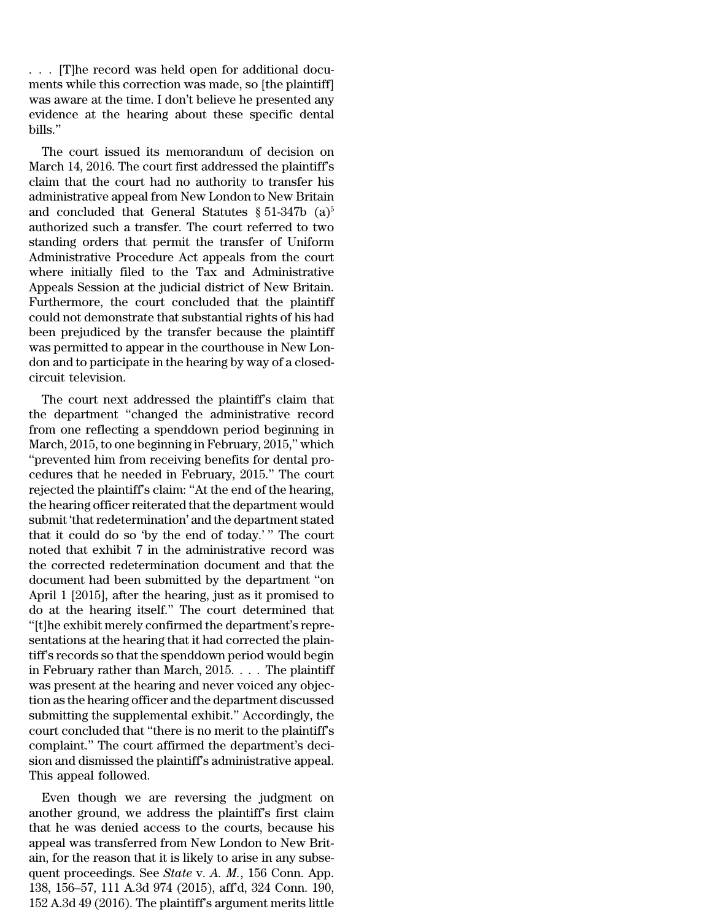. . . [T]he record was held open for additional documents while this correction was made, so [the plaintiff] was aware at the time. I don't believe he presented any evidence at the hearing about these specific dental bills.''

The court issued its memorandum of decision on March 14, 2016. The court first addressed the plaintiff's claim that the court had no authority to transfer his administrative appeal from New London to New Britain and concluded that General Statutes  $\S 51-347b$  (a)<sup>5</sup> authorized such a transfer. The court referred to two standing orders that permit the transfer of Uniform Administrative Procedure Act appeals from the court where initially filed to the Tax and Administrative Appeals Session at the judicial district of New Britain. Furthermore, the court concluded that the plaintiff could not demonstrate that substantial rights of his had been prejudiced by the transfer because the plaintiff was permitted to appear in the courthouse in New London and to participate in the hearing by way of a closedcircuit television.

The court next addressed the plaintiff's claim that the department ''changed the administrative record from one reflecting a spenddown period beginning in March, 2015, to one beginning in February, 2015,'' which ''prevented him from receiving benefits for dental procedures that he needed in February, 2015.'' The court rejected the plaintiff's claim: ''At the end of the hearing, the hearing officer reiterated that the department would submit 'that redetermination' and the department stated that it could do so 'by the end of today.' '' The court noted that exhibit 7 in the administrative record was the corrected redetermination document and that the document had been submitted by the department ''on April 1 [2015], after the hearing, just as it promised to do at the hearing itself.'' The court determined that ''[t]he exhibit merely confirmed the department's representations at the hearing that it had corrected the plaintiff's records so that the spenddown period would begin in February rather than March, 2015. . . . The plaintiff was present at the hearing and never voiced any objection as the hearing officer and the department discussed submitting the supplemental exhibit.'' Accordingly, the court concluded that ''there is no merit to the plaintiff's complaint.'' The court affirmed the department's decision and dismissed the plaintiff's administrative appeal. This appeal followed.

Even though we are reversing the judgment on another ground, we address the plaintiff's first claim that he was denied access to the courts, because his appeal was transferred from New London to New Britain, for the reason that it is likely to arise in any subsequent proceedings. See *State* v. *A. M.*, 156 Conn. App. 138, 156–57, 111 A.3d 974 (2015), aff'd, 324 Conn. 190, 152 A.3d 49 (2016). The plaintiff's argument merits little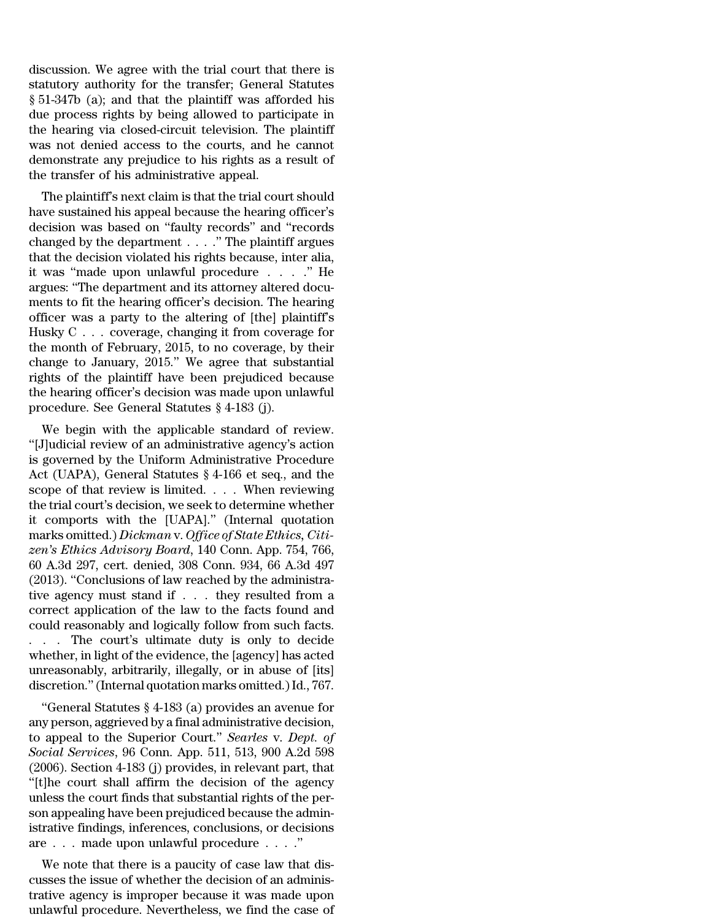discussion. We agree with the trial court that there is statutory authority for the transfer; General Statutes § 51-347b (a); and that the plaintiff was afforded his due process rights by being allowed to participate in the hearing via closed-circuit television. The plaintiff was not denied access to the courts, and he cannot demonstrate any prejudice to his rights as a result of the transfer of his administrative appeal.

The plaintiff's next claim is that the trial court should have sustained his appeal because the hearing officer's decision was based on ''faulty records'' and ''records changed by the department . . . .'' The plaintiff argues that the decision violated his rights because, inter alia, it was ''made upon unlawful procedure . . . .'' He argues: ''The department and its attorney altered documents to fit the hearing officer's decision. The hearing officer was a party to the altering of [the] plaintiff's Husky C . . . coverage, changing it from coverage for the month of February, 2015, to no coverage, by their change to January, 2015.'' We agree that substantial rights of the plaintiff have been prejudiced because the hearing officer's decision was made upon unlawful procedure. See General Statutes § 4-183 (j).

We begin with the applicable standard of review. ''[J]udicial review of an administrative agency's action is governed by the Uniform Administrative Procedure Act (UAPA), General Statutes § 4-166 et seq., and the scope of that review is limited. . . . When reviewing the trial court's decision, we seek to determine whether it comports with the [UAPA].'' (Internal quotation marks omitted.) *Dickman* v. *Office of State Ethics, Citizen's Ethics Advisory Board*, 140 Conn. App. 754, 766, 60 A.3d 297, cert. denied, 308 Conn. 934, 66 A.3d 497 (2013). ''Conclusions of law reached by the administrative agency must stand if . . . they resulted from a correct application of the law to the facts found and could reasonably and logically follow from such facts. . . . The court's ultimate duty is only to decide whether, in light of the evidence, the [agency] has acted unreasonably, arbitrarily, illegally, or in abuse of [its] discretion.''(Internal quotation marks omitted.)Id., 767.

''General Statutes § 4-183 (a) provides an avenue for any person, aggrieved by a final administrative decision, to appeal to the Superior Court.'' *Searles* v. *Dept. of Social Services*, 96 Conn. App. 511, 513, 900 A.2d 598 (2006). Section 4-183 (j) provides, in relevant part, that ''[t]he court shall affirm the decision of the agency unless the court finds that substantial rights of the person appealing have been prejudiced because the administrative findings, inferences, conclusions, or decisions are . . . made upon unlawful procedure . . . .''

We note that there is a paucity of case law that discusses the issue of whether the decision of an administrative agency is improper because it was made upon unlawful procedure. Nevertheless, we find the case of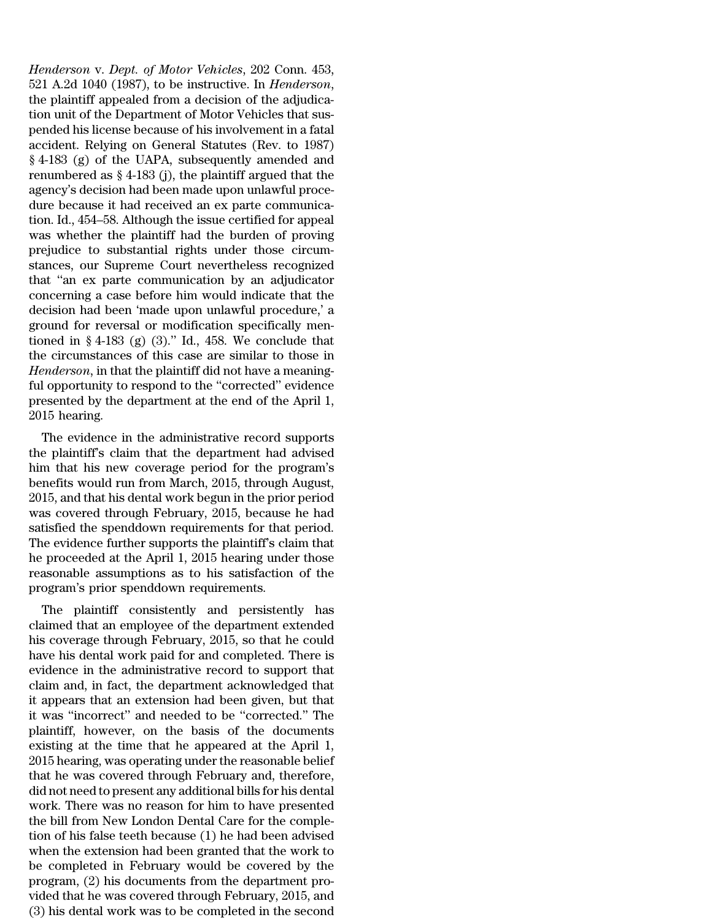*Henderson* v. *Dept. of Motor Vehicles*, 202 Conn. 453, 521 A.2d 1040 (1987), to be instructive. In *Henderson*, the plaintiff appealed from a decision of the adjudication unit of the Department of Motor Vehicles that suspended his license because of his involvement in a fatal accident. Relying on General Statutes (Rev. to 1987) § 4-183 (g) of the UAPA, subsequently amended and renumbered as  $\S$  4-183 (j), the plaintiff argued that the agency's decision had been made upon unlawful procedure because it had received an ex parte communication. Id., 454–58. Although the issue certified for appeal was whether the plaintiff had the burden of proving prejudice to substantial rights under those circumstances, our Supreme Court nevertheless recognized that ''an ex parte communication by an adjudicator concerning a case before him would indicate that the decision had been 'made upon unlawful procedure,' a ground for reversal or modification specifically mentioned in  $\S 4-183$  (g) (3)." Id., 458. We conclude that the circumstances of this case are similar to those in *Henderson*, in that the plaintiff did not have a meaningful opportunity to respond to the ''corrected'' evidence presented by the department at the end of the April 1, 2015 hearing.

The evidence in the administrative record supports the plaintiff's claim that the department had advised him that his new coverage period for the program's benefits would run from March, 2015, through August, 2015, and that his dental work begun in the prior period was covered through February, 2015, because he had satisfied the spenddown requirements for that period. The evidence further supports the plaintiff's claim that he proceeded at the April 1, 2015 hearing under those reasonable assumptions as to his satisfaction of the program's prior spenddown requirements.

The plaintiff consistently and persistently has claimed that an employee of the department extended his coverage through February, 2015, so that he could have his dental work paid for and completed. There is evidence in the administrative record to support that claim and, in fact, the department acknowledged that it appears that an extension had been given, but that it was ''incorrect'' and needed to be ''corrected.'' The plaintiff, however, on the basis of the documents existing at the time that he appeared at the April 1, 2015 hearing, was operating under the reasonable belief that he was covered through February and, therefore, did not need to present any additional bills for his dental work. There was no reason for him to have presented the bill from New London Dental Care for the completion of his false teeth because (1) he had been advised when the extension had been granted that the work to be completed in February would be covered by the program, (2) his documents from the department provided that he was covered through February, 2015, and (3) his dental work was to be completed in the second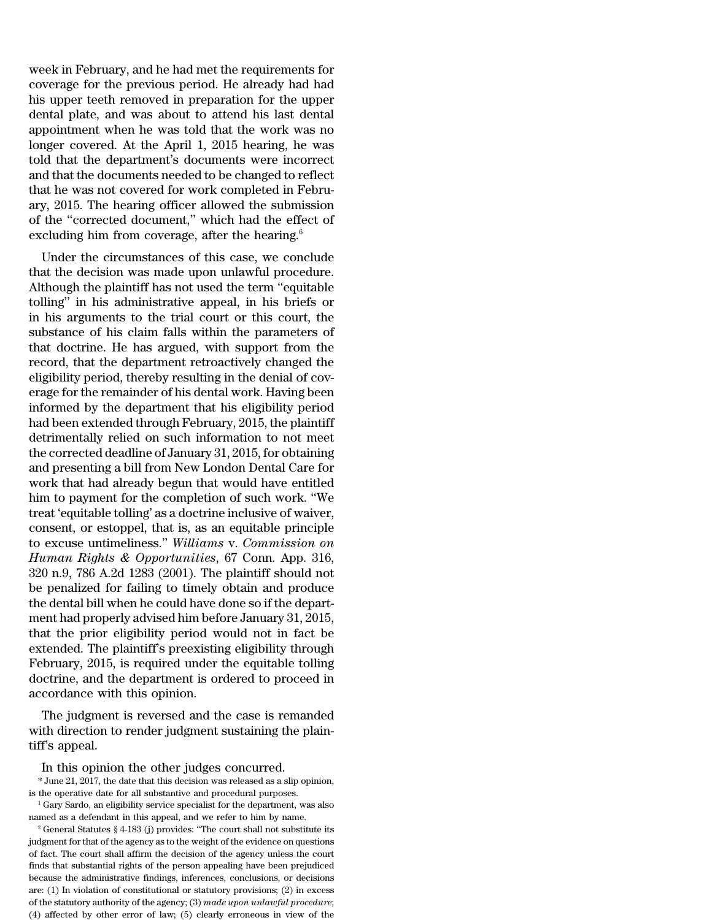week in February, and he had met the requirements for coverage for the previous period. He already had had his upper teeth removed in preparation for the upper dental plate, and was about to attend his last dental appointment when he was told that the work was no longer covered. At the April 1, 2015 hearing, he was told that the department's documents were incorrect and that the documents needed to be changed to reflect that he was not covered for work completed in February, 2015. The hearing officer allowed the submission of the ''corrected document,'' which had the effect of excluding him from coverage, after the hearing. $6$ 

Under the circumstances of this case, we conclude that the decision was made upon unlawful procedure. Although the plaintiff has not used the term ''equitable tolling'' in his administrative appeal, in his briefs or in his arguments to the trial court or this court, the substance of his claim falls within the parameters of that doctrine. He has argued, with support from the record, that the department retroactively changed the eligibility period, thereby resulting in the denial of coverage for the remainder of his dental work. Having been informed by the department that his eligibility period had been extended through February, 2015, the plaintiff detrimentally relied on such information to not meet the corrected deadline of January 31, 2015, for obtaining and presenting a bill from New London Dental Care for work that had already begun that would have entitled him to payment for the completion of such work. ''We treat 'equitable tolling' as a doctrine inclusive of waiver, consent, or estoppel, that is, as an equitable principle to excuse untimeliness.'' *Williams* v. *Commission on Human Rights & Opportunities*, 67 Conn. App. 316, 320 n.9, 786 A.2d 1283 (2001). The plaintiff should not be penalized for failing to timely obtain and produce the dental bill when he could have done so if the department had properly advised him before January 31, 2015, that the prior eligibility period would not in fact be extended. The plaintiff's preexisting eligibility through February, 2015, is required under the equitable tolling doctrine, and the department is ordered to proceed in accordance with this opinion.

The judgment is reversed and the case is remanded with direction to render judgment sustaining the plaintiff's appeal.

In this opinion the other judges concurred.

\* June 21, 2017, the date that this decision was released as a slip opinion, is the operative date for all substantive and procedural purposes.

<sup>1</sup> Gary Sardo, an eligibility service specialist for the department, was also named as a defendant in this appeal, and we refer to him by name.

 $2$  General Statutes § 4-183 (j) provides: "The court shall not substitute its judgment for that of the agency as to the weight of the evidence on questions of fact. The court shall affirm the decision of the agency unless the court finds that substantial rights of the person appealing have been prejudiced because the administrative findings, inferences, conclusions, or decisions are: (1) In violation of constitutional or statutory provisions; (2) in excess of the statutory authority of the agency; (3) *made upon unlawful procedure*; (4) affected by other error of law; (5) clearly erroneous in view of the